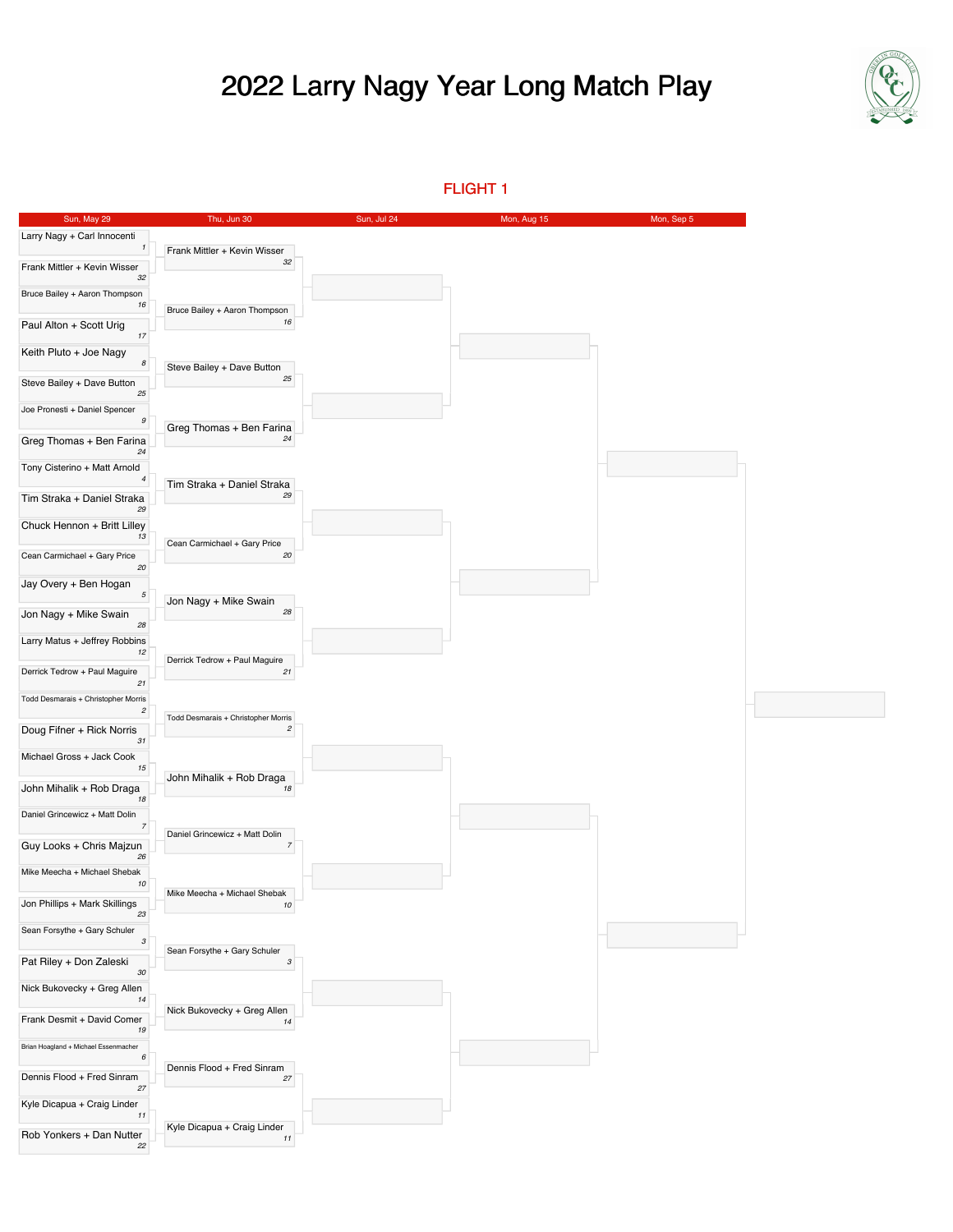## 2022 Larry Nagy Year Long Match Play



FLIGHT 1